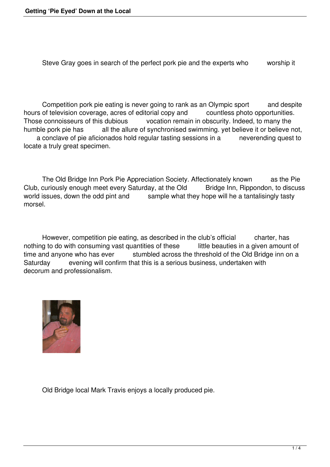Steve Gray goes in search of the perfect pork pie and the experts who worship it

 Competition pork pie eating is never going to rank as an Olympic sport and despite hours of television coverage, acres of editorial copy and countless photo opportunities.<br>Those connoisseurs of this dubious vocation remain in obscurity. Indeed, to many the Those connoisseurs of this dubious vocation remain in obscurity. Indeed, to many the humble pork pie has all the allure of synchronised swimming. yet believe it or believe r all the allure of synchronised swimming. yet believe it or believe not, a conclave of pie aficionados hold regular tasting sessions in a neverending quest to locate a truly great specimen.

 The Old Bridge Inn Pork Pie Appreciation Society. Affectionately known as the Pie Club, curiously enough meet every Saturday, at the Old Bridge Inn, Rippondon, to discuss world issues, down the odd pint and sample what they hope will he a tantalisingly tasty sample what they hope will he a tantalisingly tasty morsel.

However, competition pie eating, as described in the club's official charter, has nothing to do with consuming vast quantities of these little beauties in a given amount of time and anyone who has ever<br>stumbled across the threshold of the Old Bridge inn on a stumbled across the threshold of the Old Bridge inn on a Saturday evening will confirm that this is a serious business, undertaken with decorum and professionalism.



Old Bridge local Mark Travis enjoys a locally produced pie.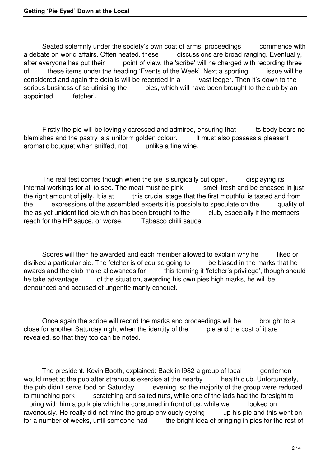Seated solemnly under the society's own coat of arms, proceedings commence with a debate on world affairs. Often heated. these discussions are broad ranging. Eventually, after everyone has put their point of view, the 'scribe' will he charged with recording three of these items under the heading 'Events of the Week'. Next a sporting issue will he considered and again the details will be recorded in a vast ledger. Then it's down to the considered and again the details will be recorded in a serious business of scrutinising the pies, which will have been brought to the club by an appointed 'fetcher'.

Firstly the pie will be lovingly caressed and admired, ensuring that its body bears no blemishes and the pastry is a uniform golden colour. It must also possess a pleasant aromatic bouquet when sniffed, not unlike a fine wine.

 The real test comes though when the pie is surgically cut open, displaying its internal workings for all to see. The meat must be pink, smell fresh and be encased in just the right amount of jelly. It is at this crucial stage that the first mouthful is tasted and from this crucial stage that the first mouthful is tasted and from the expressions of the assembled experts it is possible to speculate on the quality of the as yet unidentified pie which has been brought to the club, especially if the members reach for the HP sauce, or worse, Tabasco chilli sauce.

Scores will then he awarded and each member allowed to explain why he liked or disliked a particular pie. The fetcher is of course going to be biased in the marks that he awards and the club make allowances for this terming it 'fetcher's privilege', though shou this terming it 'fetcher's privilege', though should he take advantage of the situation, awarding his own pies high marks, he will be denounced and accused of ungentle manly conduct.

Once again the scribe will record the marks and proceedings will be brought to a close for another Saturday night when the identity of the pie and the cost of it are revealed, so that they too can be noted.

The president. Kevin Booth, explained: Back in 1982 a group of local gentlemen would meet at the pub after strenuous exercise at the nearby health club. Unfortunately, the pub didn't serve food on Saturday evening, so the majority of the group were reduce evening, so the majority of the group were reduced to munching pork scratching and salted nuts, while one of the lads had the foresight to bring with him a pork pie which he consumed in front of us. while we looked on ravenously. He really did not mind the group enviously eyeing up his pie and this went on for a number of weeks, until someone had the bright idea of bringing in pies for the rest of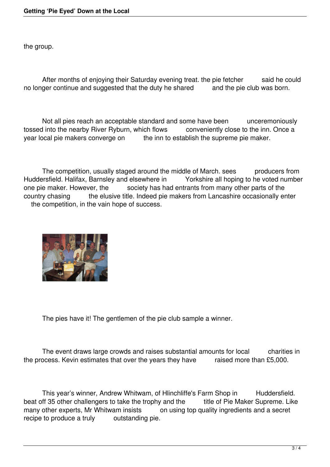the group.

After months of enjoying their Saturday evening treat. the pie fetcher said he could no longer continue and suggested that the duty he shared and the pie club was born.

Not all pies reach an acceptable standard and some have been unceremoniously tossed into the nearby River Ryburn, which flows conveniently close to the inn. Once a year local pie makers converge on the inn to establish the supreme pie maker.

The competition, usually staged around the middle of March. sees producers from Huddersfield. Halifax, Barnsley and elsewhere in Yorkshire all hoping to he voted number one pie maker. However, the society has had entrants from many other parts of the country chasing the elusive title. Indeed pie makers from Lancashire occasionally enter the competition, in the vain hope of success.



The pies have it! The gentlemen of the pie club sample a winner.

The event draws large crowds and raises substantial amounts for local charities in the process. Kevin estimates that over the years they have raised more than £5,000.

This year's winner, Andrew Whitwam, of Hlinchliffe's Farm Shop in Huddersfield. beat off 35 other challengers to take the trophy and the title of Pie Maker Supreme. Like<br>many other experts, Mr Whitwam insists on using top quality ingredients and a secret on using top quality ingredients and a secret recipe to produce a truly outstanding pie.